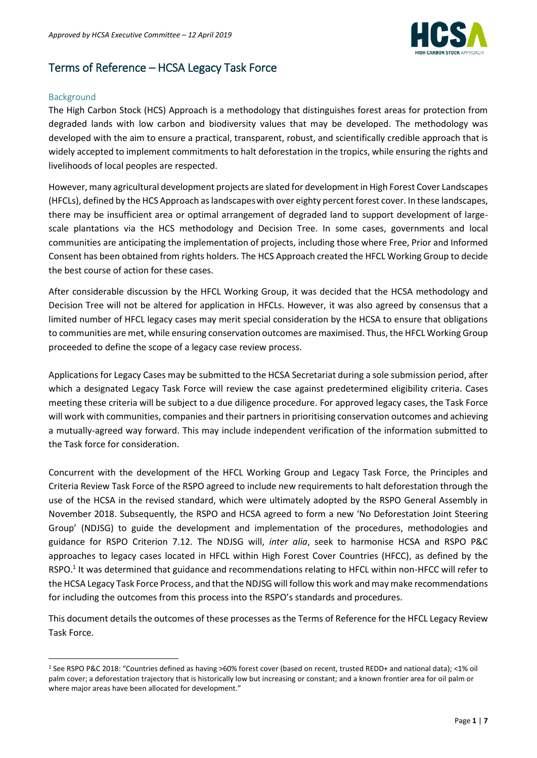

# Terms of Reference – HCSA Legacy Task Force

#### Background

**.** 

The High Carbon Stock (HCS) Approach is a methodology that distinguishes forest areas for protection from degraded lands with low carbon and biodiversity values that may be developed. The methodology was developed with the aim to ensure a practical, transparent, robust, and scientifically credible approach that is widely accepted to implement commitments to halt deforestation in the tropics, while ensuring the rights and livelihoods of local peoples are respected.

However, many agricultural development projects are slated for development in High Forest Cover Landscapes (HFCLs), defined by the HCS Approach as landscapeswith over eighty percent forest cover. In these landscapes, there may be insufficient area or optimal arrangement of degraded land to support development of largescale plantations via the HCS methodology and Decision Tree. In some cases, governments and local communities are anticipating the implementation of projects, including those where Free, Prior and Informed Consent has been obtained from rights holders. The HCS Approach created the HFCL Working Group to decide the best course of action for these cases.

After considerable discussion by the HFCL Working Group, it was decided that the HCSA methodology and Decision Tree will not be altered for application in HFCLs. However, it was also agreed by consensus that a limited number of HFCL legacy cases may merit special consideration by the HCSA to ensure that obligations to communities are met, while ensuring conservation outcomes are maximised. Thus, the HFCL Working Group proceeded to define the scope of a legacy case review process.

Applications for Legacy Cases may be submitted to the HCSA Secretariat during a sole submission period, after which a designated Legacy Task Force will review the case against predetermined eligibility criteria. Cases meeting these criteria will be subject to a due diligence procedure. For approved legacy cases, the Task Force will work with communities, companies and their partners in prioritising conservation outcomes and achieving a mutually-agreed way forward. This may include independent verification of the information submitted to the Task force for consideration.

Concurrent with the development of the HFCL Working Group and Legacy Task Force, the Principles and Criteria Review Task Force of the RSPO agreed to include new requirements to halt deforestation through the use of the HCSA in the revised standard, which were ultimately adopted by the RSPO General Assembly in November 2018. Subsequently, the RSPO and HCSA agreed to form a new 'No Deforestation Joint Steering Group' (NDJSG) to guide the development and implementation of the procedures, methodologies and guidance for RSPO Criterion 7.12. The NDJSG will, *inter alia*, seek to harmonise HCSA and RSPO P&C approaches to legacy cases located in HFCL within High Forest Cover Countries (HFCC), as defined by the RSPO.<sup>1</sup> It was determined that guidance and recommendations relating to HFCL within non-HFCC will refer to the HCSA Legacy Task Force Process, and that the NDJSG will follow this work and may make recommendations for including the outcomes from this process into the RSPO's standards and procedures.

This document details the outcomes of these processes as the Terms of Reference for the HFCL Legacy Review Task Force.

<sup>1</sup> See RSPO P&C 2018: "Countries defined as having >60% forest cover (based on recent, trusted REDD+ and national data); <1% oil palm cover; a deforestation trajectory that is historically low but increasing or constant; and a known frontier area for oil palm or where major areas have been allocated for development."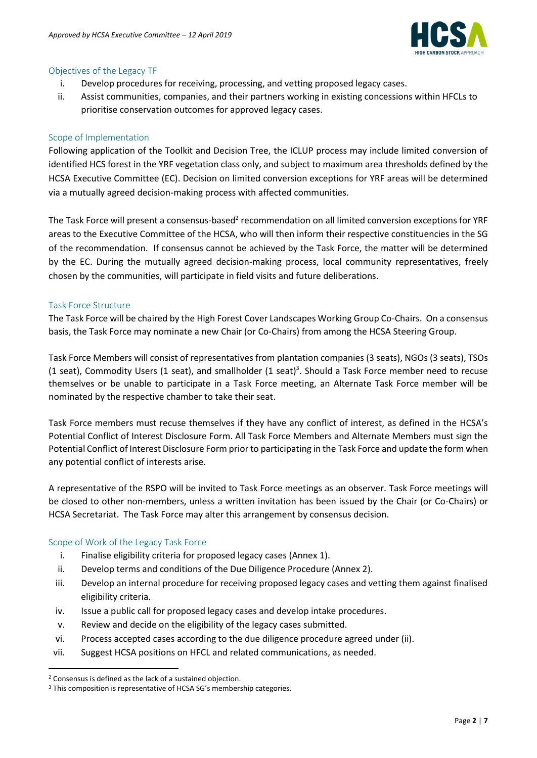

# Objectives of the Legacy TF

- i. Develop procedures for receiving, processing, and vetting proposed legacy cases.
- ii. Assist communities, companies, and their partners working in existing concessions within HFCLs to prioritise conservation outcomes for approved legacy cases.

# Scope of Implementation

Following application of the Toolkit and Decision Tree, the ICLUP process may include limited conversion of identified HCS forest in the YRF vegetation class only, and subject to maximum area thresholds defined by the HCSA Executive Committee (EC). Decision on limited conversion exceptions for YRF areas will be determined via a mutually agreed decision-making process with affected communities.

The Task Force will present a consensus-based<sup>2</sup> recommendation on all limited conversion exceptions for YRF areas to the Executive Committee of the HCSA, who will then inform their respective constituencies in the SG of the recommendation. If consensus cannot be achieved by the Task Force, the matter will be determined by the EC. During the mutually agreed decision-making process, local community representatives, freely chosen by the communities, will participate in field visits and future deliberations.

# Task Force Structure

The Task Force will be chaired by the High Forest Cover Landscapes Working Group Co-Chairs. On a consensus basis, the Task Force may nominate a new Chair (or Co-Chairs) from among the HCSA Steering Group.

Task Force Members will consist of representatives from plantation companies (3 seats), NGOs (3 seats), TSOs (1 seat), Commodity Users (1 seat), and smallholder (1 seat) 3 . Should a Task Force member need to recuse themselves or be unable to participate in a Task Force meeting, an Alternate Task Force member will be nominated by the respective chamber to take their seat.

Task Force members must recuse themselves if they have any conflict of interest, as defined in the HCSA's Potential Conflict of Interest Disclosure Form. All Task Force Members and Alternate Members must sign the Potential Conflict of Interest Disclosure Form prior to participating in the Task Force and update the form when any potential conflict of interests arise.

A representative of the RSPO will be invited to Task Force meetings as an observer. Task Force meetings will be closed to other non-members, unless a written invitation has been issued by the Chair (or Co-Chairs) or HCSA Secretariat. The Task Force may alter this arrangement by consensus decision.

#### Scope of Work of the Legacy Task Force

- i. Finalise eligibility criteria for proposed legacy cases (Annex 1).
- ii. Develop terms and conditions of the Due Diligence Procedure (Annex 2).
- iii. Develop an internal procedure for receiving proposed legacy cases and vetting them against finalised eligibility criteria.
- iv. Issue a public call for proposed legacy cases and develop intake procedures.
- v. Review and decide on the eligibility of the legacy cases submitted.
- vi. Process accepted cases according to the due diligence procedure agreed under (ii).
- vii. Suggest HCSA positions on HFCL and related communications, as needed.

1

<sup>2</sup> Consensus is defined as the lack of a sustained objection.

<sup>&</sup>lt;sup>3</sup> This composition is representative of HCSA SG's membership categories.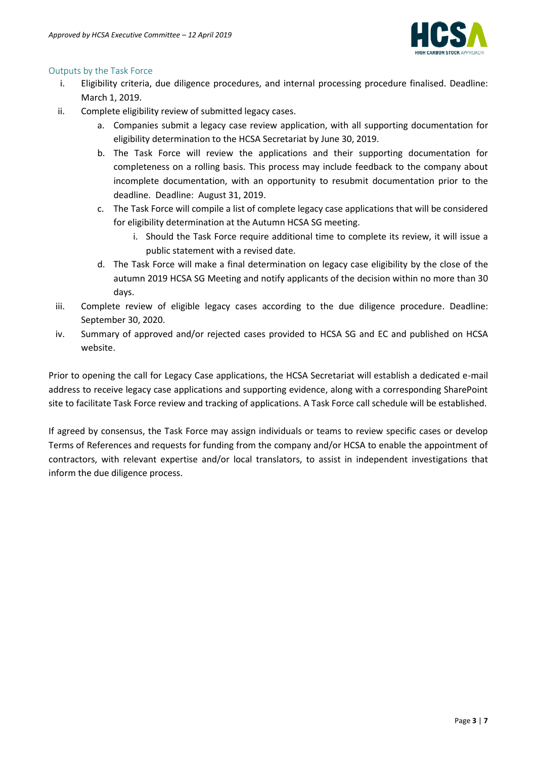

# Outputs by the Task Force

- i. Eligibility criteria, due diligence procedures, and internal processing procedure finalised. Deadline: March 1, 2019.
- ii. Complete eligibility review of submitted legacy cases.
	- a. Companies submit a legacy case review application, with all supporting documentation for eligibility determination to the HCSA Secretariat by June 30, 2019.
	- b. The Task Force will review the applications and their supporting documentation for completeness on a rolling basis. This process may include feedback to the company about incomplete documentation, with an opportunity to resubmit documentation prior to the deadline. Deadline: August 31, 2019.
	- c. The Task Force will compile a list of complete legacy case applications that will be considered for eligibility determination at the Autumn HCSA SG meeting.
		- i. Should the Task Force require additional time to complete its review, it will issue a public statement with a revised date.
	- d. The Task Force will make a final determination on legacy case eligibility by the close of the autumn 2019 HCSA SG Meeting and notify applicants of the decision within no more than 30 days.
- iii. Complete review of eligible legacy cases according to the due diligence procedure. Deadline: September 30, 2020.
- iv. Summary of approved and/or rejected cases provided to HCSA SG and EC and published on HCSA website.

Prior to opening the call for Legacy Case applications, the HCSA Secretariat will establish a dedicated e-mail address to receive legacy case applications and supporting evidence, along with a corresponding SharePoint site to facilitate Task Force review and tracking of applications. A Task Force call schedule will be established.

If agreed by consensus, the Task Force may assign individuals or teams to review specific cases or develop Terms of References and requests for funding from the company and/or HCSA to enable the appointment of contractors, with relevant expertise and/or local translators, to assist in independent investigations that inform the due diligence process.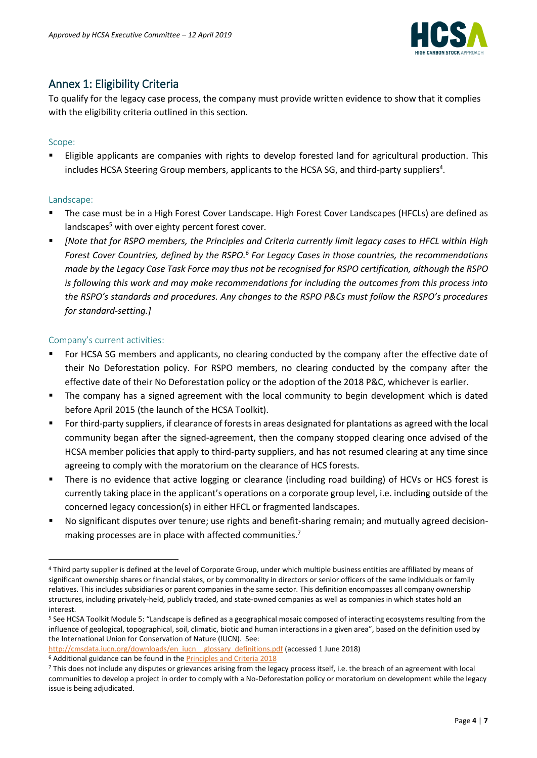

# Annex 1: Eligibility Criteria

To qualify for the legacy case process, the company must provide written evidence to show that it complies with the eligibility criteria outlined in this section.

# Scope:

Eligible applicants are companies with rights to develop forested land for agricultural production. This includes HCSA Steering Group members, applicants to the HCSA SG, and third-party suppliers<sup>4</sup>.

# Landscape:

**.** 

- The case must be in a High Forest Cover Landscape. High Forest Cover Landscapes (HFCLs) are defined as landscapes<sup>5</sup> with over eighty percent forest cover.
- *[Note that for RSPO members, the Principles and Criteria currently limit legacy cases to HFCL within High*  Forest Cover Countries, defined by the RSPO.<sup>6</sup> For Legacy Cases in those countries, the recommendations *made by the Legacy Case Task Force may thus not be recognised for RSPO certification, although the RSPO is following this work and may make recommendations for including the outcomes from this process into the RSPO's standards and procedures. Any changes to the RSPO P&Cs must follow the RSPO's procedures for standard-setting.]*

# Company's current activities:

- For HCSA SG members and applicants, no clearing conducted by the company after the effective date of their No Deforestation policy. For RSPO members, no clearing conducted by the company after the effective date of their No Deforestation policy or the adoption of the 2018 P&C, whichever is earlier.
- The company has a signed agreement with the local community to begin development which is dated before April 2015 (the launch of the HCSA Toolkit).
- For third-party suppliers, if clearance of forests in areas designated for plantations as agreed with the local community began after the signed-agreement, then the company stopped clearing once advised of the HCSA member policies that apply to third-party suppliers, and has not resumed clearing at any time since agreeing to comply with the moratorium on the clearance of HCS forests.
- There is no evidence that active logging or clearance (including road building) of HCVs or HCS forest is currently taking place in the applicant's operations on a corporate group level, i.e. including outside of the concerned legacy concession(s) in either HFCL or fragmented landscapes.
- No significant disputes over tenure; use rights and benefit-sharing remain; and mutually agreed decisionmaking processes are in place with affected communities.<sup>7</sup>

<sup>6</sup> Additional guidance can be found in the **Principles and Criteria 2018** 

<sup>4</sup> Third party supplier is defined at the level of Corporate Group, under which multiple business entities are affiliated by means of significant ownership shares or financial stakes, or by commonality in directors or senior officers of the same individuals or family relatives. This includes subsidiaries or parent companies in the same sector. This definition encompasses all company ownership structures, including privately-held, publicly traded, and state-owned companies as well as companies in which states hold an interest.

<sup>5</sup> See HCSA Toolkit Module 5: "Landscape is defined as a geographical mosaic composed of interacting ecosystems resulting from the influence of geological, topographical, soil, climatic, biotic and human interactions in a given area", based on the definition used by the International Union for Conservation of Nature (IUCN). See:

[http://cmsdata.iucn.org/downloads/en\\_iucn\\_\\_glossary\\_definitions.pdf](http://cmsdata.iucn.org/downloads/en_iucn__glossary_definitions.pdf) (accessed 1 June 2018)

<sup>7</sup> This does not include any disputes or grievances arising from the legacy process itself, i.e. the breach of an agreement with local communities to develop a project in order to comply with a No-Deforestation policy or moratorium on development while the legacy issue is being adjudicated.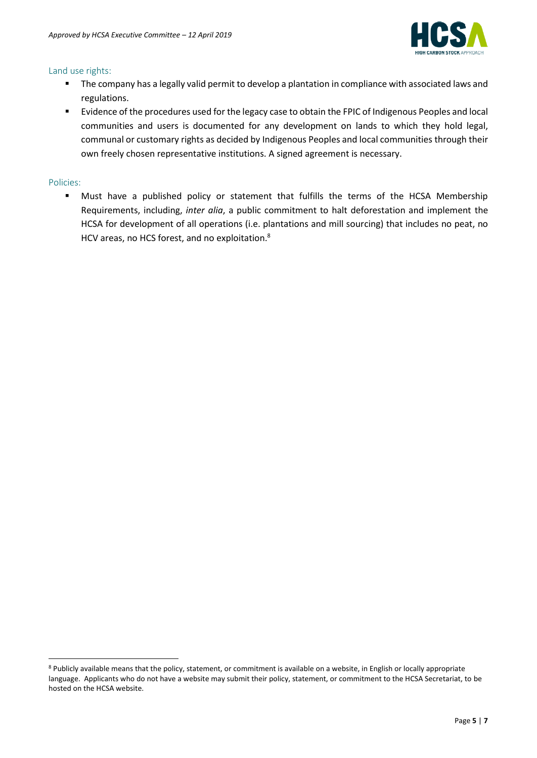

#### Land use rights:

- The company has a legally valid permit to develop a plantation in compliance with associated laws and regulations.
- Evidence of the procedures used for the legacy case to obtain the FPIC of Indigenous Peoples and local communities and users is documented for any development on lands to which they hold legal, communal or customary rights as decided by Indigenous Peoples and local communities through their own freely chosen representative institutions. A signed agreement is necessary.

# Policies:

**.** 

▪ Must have a published policy or statement that fulfills the terms of the HCSA Membership Requirements, including, *inter alia*, a public commitment to halt deforestation and implement the HCSA for development of all operations (i.e. plantations and mill sourcing) that includes no peat, no HCV areas, no HCS forest, and no exploitation.<sup>8</sup>

<sup>8</sup> Publicly available means that the policy, statement, or commitment is available on a website, in English or locally appropriate language. Applicants who do not have a website may submit their policy, statement, or commitment to the HCSA Secretariat, to be hosted on the HCSA website.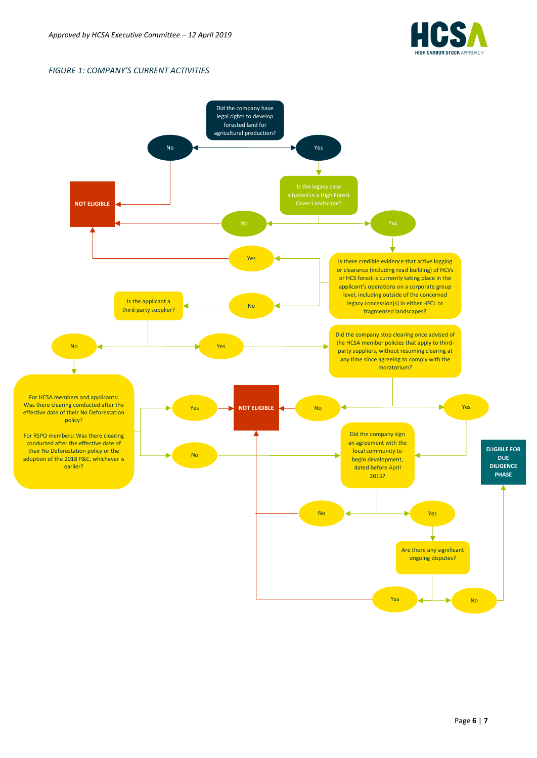

#### *FIGURE 1: COMPANY'S CURRENT ACTIVITIES*